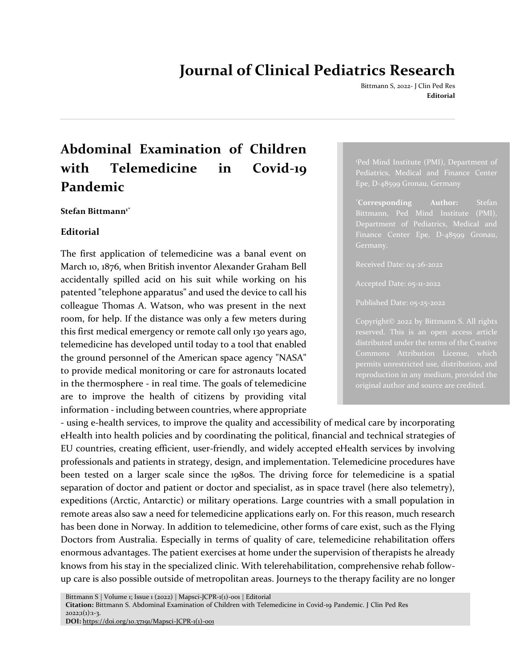## **Journal of Clinical Pediatrics Research**

Bittmann S, 2022- J Clin Ped Res **Editorial**

# **Abdominal Examination of Children with Telemedicine in Covid-19 Pandemic**

#### **Stefan Bittmann1\***

### **Editorial**

The first application of telemedicine was a banal event on March 10, 1876, when British inventor Alexander Graham Bell accidentally spilled acid on his suit while working on his patented "telephone apparatus" and used the device to call his colleague Thomas A. Watson, who was present in the next room, for help. If the distance was only a few meters during this first medical emergency or remote call only 130 years ago, telemedicine has developed until today to a tool that enabled the ground personnel of the American space agency "NASA" to provide medical monitoring or care for astronauts located in the thermosphere - in real time. The goals of telemedicine are to improve the health of citizens by providing vital information - including between countries, where appropriate

<sup>1</sup>Ped Mind Institute (PMI), Department of Pediatrics, Medical and Finance Center Epe, D-48599 Gronau, Germany

\***Corresponding Author:** Stefan Department of Pediatrics, Medical and Finance Center Epe, D-48599 Gronau,

Accepted Date: 05-11-2022

Copyright© 2022 by Bittmann S. All rights Commons Attribution License, which original author and source are credited.

- using e-health services, to improve the quality and accessibility of medical care by incorporating eHealth into health policies and by coordinating the political, financial and technical strategies of EU countries, creating efficient, user-friendly, and widely accepted eHealth services by involving professionals and patients in strategy, design, and implementation. Telemedicine procedures have been tested on a larger scale since the 1980s. The driving force for telemedicine is a spatial separation of doctor and patient or doctor and specialist, as in space travel (here also telemetry), expeditions (Arctic, Antarctic) or military operations. Large countries with a small population in remote areas also saw a need for telemedicine applications early on. For this reason, much research has been done in Norway. In addition to telemedicine, other forms of care exist, such as the Flying Doctors from Australia. Especially in terms of quality of care, telemedicine rehabilitation offers enormous advantages. The patient exercises at home under the supervision of therapists he already knows from his stay in the specialized clinic. With telerehabilitation, comprehensive rehab followup care is also possible outside of metropolitan areas. Journeys to the therapy facility are no longer

Bittmann S | Volume 1; Issue 1 (2022) | Mapsci-JCPR-1(1)-001 | Editorial

**Citation:** Bittmann S. Abdominal Examination of Children with Telemedicine in Covid-19 Pandemic. J Clin Ped Res  $2022;1(1):1-3.$ 

**DOI:** [https://doi.org/10.37191/Mapsci-JCPR-1\(1\)-001](https://doi.org/10.37191/Mapsci-JCPR-1(1)-001)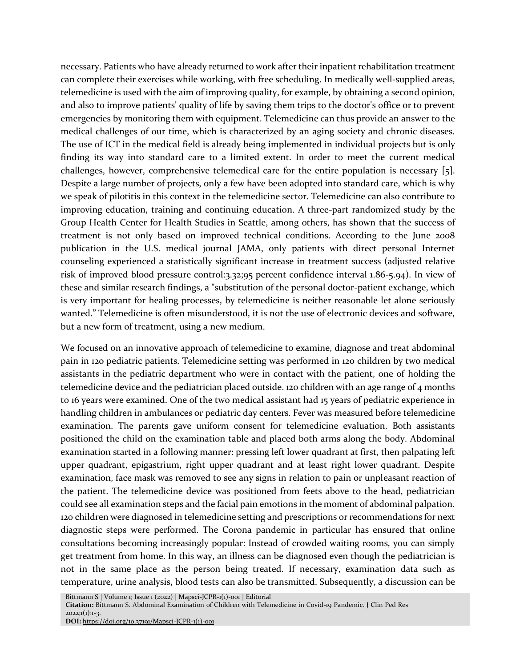necessary. Patients who have already returned to work after their inpatient rehabilitation treatment can complete their exercises while working, with free scheduling. In medically well-supplied areas, telemedicine is used with the aim of improving quality, for example, by obtaining a second opinion, and also to improve patients' quality of life by saving them trips to the doctor's office or to prevent emergencies by monitoring them with equipment. Telemedicine can thus provide an answer to the medical challenges of our time, which is characterized by an aging society and chronic diseases. The use of ICT in the medical field is already being implemented in individual projects but is only finding its way into standard care to a limited extent. In order to meet the current medical challenges, however, comprehensive telemedical care for the entire population is necessary [5]. Despite a large number of projects, only a few have been adopted into standard care, which is why we speak of pilotitis in this context in the telemedicine sector. Telemedicine can also contribute to improving education, training and continuing education. A three-part randomized study by the Group Health Center for Health Studies in Seattle, among others, has shown that the success of treatment is not only based on improved technical conditions. According to the June 2008 publication in the U.S. medical journal JAMA, only patients with direct personal Internet counseling experienced a statistically significant increase in treatment success (adjusted relative risk of improved blood pressure control:3.32;95 percent confidence interval 1.86-5.94). In view of these and similar research findings, a "substitution of the personal doctor-patient exchange, which is very important for healing processes, by telemedicine is neither reasonable let alone seriously wanted." Telemedicine is often misunderstood, it is not the use of electronic devices and software, but a new form of treatment, using a new medium.

We focused on an innovative approach of telemedicine to examine, diagnose and treat abdominal pain in 120 pediatric patients. Telemedicine setting was performed in 120 children by two medical assistants in the pediatric department who were in contact with the patient, one of holding the telemedicine device and the pediatrician placed outside. 120 children with an age range of 4 months to 16 years were examined. One of the two medical assistant had 15 years of pediatric experience in handling children in ambulances or pediatric day centers. Fever was measured before telemedicine examination. The parents gave uniform consent for telemedicine evaluation. Both assistants positioned the child on the examination table and placed both arms along the body. Abdominal examination started in a following manner: pressing left lower quadrant at first, then palpating left upper quadrant, epigastrium, right upper quadrant and at least right lower quadrant. Despite examination, face mask was removed to see any signs in relation to pain or unpleasant reaction of the patient. The telemedicine device was positioned from feets above to the head, pediatrician could see all examination steps and the facial pain emotions in the moment of abdominal palpation. 120 children were diagnosed in telemedicine setting and prescriptions or recommendations for next diagnostic steps were performed. The Corona pandemic in particular has ensured that online consultations becoming increasingly popular: Instead of crowded waiting rooms, you can simply get treatment from home. In this way, an illness can be diagnosed even though the pediatrician is not in the same place as the person being treated. If necessary, examination data such as temperature, urine analysis, blood tests can also be transmitted. Subsequently, a discussion can be

Bittmann S | Volume 1; Issue 1 (2022) | Mapsci-JCPR-1(1)-001 | Editorial

**Citation:** Bittmann S. Abdominal Examination of Children with Telemedicine in Covid-19 Pandemic. J Clin Ped Res  $2022;1(1):1-3.$ 

**DOI:** [https://doi.org/10.37191/Mapsci-JCPR-1\(1\)-001](https://doi.org/10.37191/Mapsci-JCPR-1(1)-001)